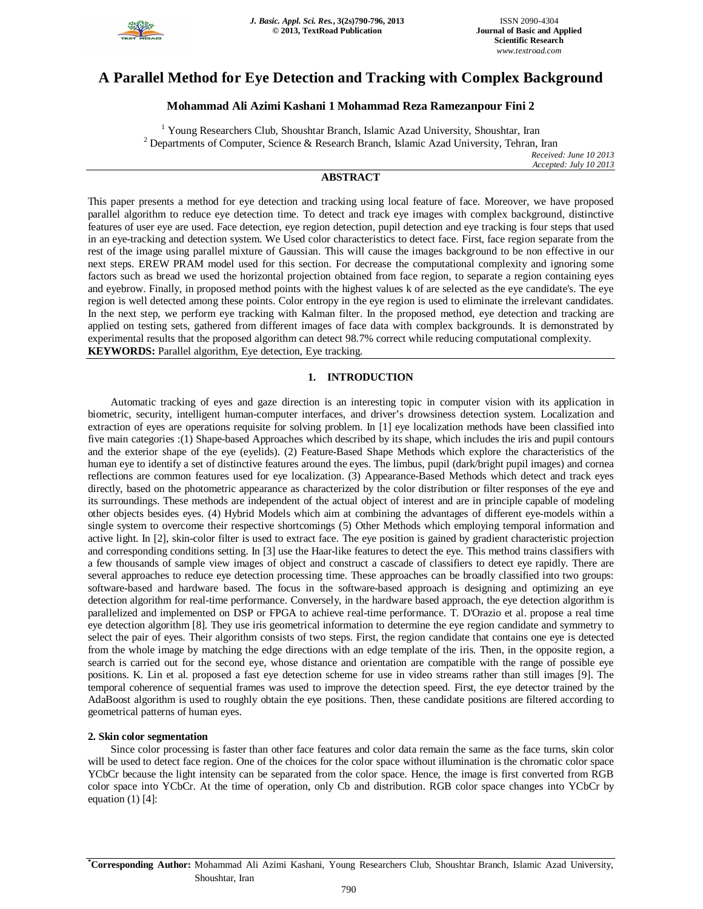

# **A Parallel Method for Eye Detection and Tracking with Complex Background**

# **Mohammad Ali Azimi Kashani 1 Mohammad Reza Ramezanpour Fini 2**

<sup>1</sup> Young Researchers Club, Shoushtar Branch, Islamic Azad University, Shoushtar, Iran <sup>2</sup> Departments of Computer, Science & Research Branch, Islamic Azad University, Tehran, Iran

*Received: June 10 2013 Accepted: July 10 2013*

# **ABSTRACT**

This paper presents a method for eye detection and tracking using local feature of face. Moreover, we have proposed parallel algorithm to reduce eye detection time. To detect and track eye images with complex background, distinctive features of user eye are used. Face detection, eye region detection, pupil detection and eye tracking is four steps that used in an eye-tracking and detection system. We Used color characteristics to detect face. First, face region separate from the rest of the image using parallel mixture of Gaussian. This will cause the images background to be non effective in our next steps. EREW PRAM model used for this section. For decrease the computational complexity and ignoring some factors such as bread we used the horizontal projection obtained from face region, to separate a region containing eyes and eyebrow. Finally, in proposed method points with the highest values k of are selected as the eye candidate's. The eye region is well detected among these points. Color entropy in the eye region is used to eliminate the irrelevant candidates. In the next step, we perform eye tracking with Kalman filter. In the proposed method, eye detection and tracking are applied on testing sets, gathered from different images of face data with complex backgrounds. It is demonstrated by experimental results that the proposed algorithm can detect 98.7% correct while reducing computational complexity. **KEYWORDS:** Parallel algorithm, Eye detection, Eye tracking.

# **1. INTRODUCTION**

Automatic tracking of eyes and gaze direction is an interesting topic in computer vision with its application in biometric, security, intelligent human-computer interfaces, and driver's drowsiness detection system. Localization and extraction of eyes are operations requisite for solving problem. In [1] eye localization methods have been classified into five main categories :(1) Shape-based Approaches which described by its shape, which includes the iris and pupil contours and the exterior shape of the eye (eyelids). (2) Feature-Based Shape Methods which explore the characteristics of the human eye to identify a set of distinctive features around the eyes. The limbus, pupil (dark/bright pupil images) and cornea reflections are common features used for eye localization. (3) Appearance-Based Methods which detect and track eyes directly, based on the photometric appearance as characterized by the color distribution or filter responses of the eye and its surroundings. These methods are independent of the actual object of interest and are in principle capable of modeling other objects besides eyes. (4) Hybrid Models which aim at combining the advantages of different eye-models within a single system to overcome their respective shortcomings (5) Other Methods which employing temporal information and active light. In [2], skin-color filter is used to extract face. The eye position is gained by gradient characteristic projection and corresponding conditions setting. In [3] use the Haar-like features to detect the eye. This method trains classifiers with a few thousands of sample view images of object and construct a cascade of classifiers to detect eye rapidly. There are several approaches to reduce eye detection processing time. These approaches can be broadly classified into two groups: software-based and hardware based. The focus in the software-based approach is designing and optimizing an eye detection algorithm for real-time performance. Conversely, in the hardware based approach, the eye detection algorithm is parallelized and implemented on DSP or FPGA to achieve real-time performance. T. D'Orazio et al. propose a real time eye detection algorithm [8]. They use iris geometrical information to determine the eye region candidate and symmetry to select the pair of eyes. Their algorithm consists of two steps. First, the region candidate that contains one eye is detected from the whole image by matching the edge directions with an edge template of the iris. Then, in the opposite region, a search is carried out for the second eye, whose distance and orientation are compatible with the range of possible eye positions. K. Lin et al. proposed a fast eye detection scheme for use in video streams rather than still images [9]. The temporal coherence of sequential frames was used to improve the detection speed. First, the eye detector trained by the AdaBoost algorithm is used to roughly obtain the eye positions. Then, these candidate positions are filtered according to geometrical patterns of human eyes.

# **2. Skin color segmentation**

Since color processing is faster than other face features and color data remain the same as the face turns, skin color will be used to detect face region. One of the choices for the color space without illumination is the chromatic color space YCbCr because the light intensity can be separated from the color space. Hence, the image is first converted from RGB color space into YCbCr. At the time of operation, only Cb and distribution. RGB color space changes into YCbCr by equation  $(1)$  [4]:

**\*Corresponding Author:** Mohammad Ali Azimi Kashani, Young Researchers Club, Shoushtar Branch, Islamic Azad University, Shoushtar, Iran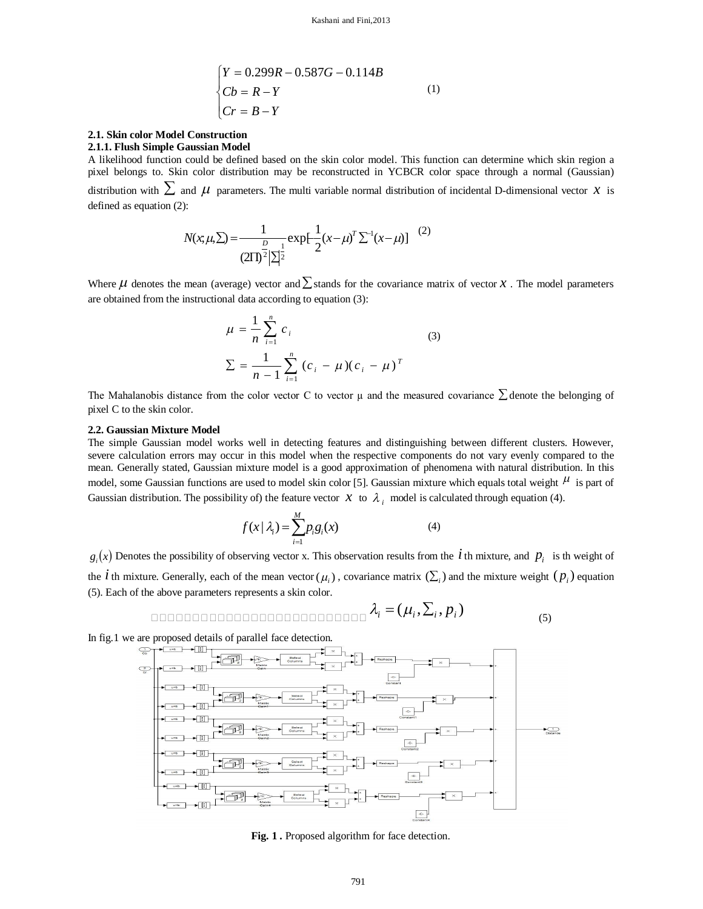$$
\begin{cases}\nY = 0.299R - 0.587G - 0.114B \\
Cb = R - Y \\
Cr = B - Y\n\end{cases}
$$
\n(1)

# **2.1. Skin color Model Construction**

**2.1.1. Flush Simple Gaussian Model**

A likelihood function could be defined based on the skin color model. This function can determine which skin region a pixel belongs to. Skin color distribution may be reconstructed in YCBCR color space through a normal (Gaussian) distribution with  $\sum$  and  $\mu$  parameters. The multi variable normal distribution of incidental D-dimensional vector  $x$  is defined as equation (2):

$$
N(x, \mu, \Sigma) = \frac{1}{(2\Pi)^{\frac{D}{2}} |\Sigma|^{\frac{1}{2}}} \exp\left[-\frac{1}{2}(x - \mu)^{T} \Sigma^{-1} (x - \mu)\right]^{(2)}
$$

Where  $\mu$  denotes the mean (average) vector and  $\sum$  stands for the covariance matrix of vector *x*. The model parameters are obtained from the instructional data according to equation (3):

$$
\mu = \frac{1}{n} \sum_{i=1}^{n} c_i
$$
\n
$$
\Sigma = \frac{1}{n-1} \sum_{i=1}^{n} (c_i - \mu)(c_i - \mu)^T
$$
\n(3)

The Mahalanobis distance from the color vector C to vector  $\mu$  and the measured covariance  $\sum$  denote the belonging of pixel C to the skin color.

#### **2.2. Gaussian Mixture Model**

The simple Gaussian model works well in detecting features and distinguishing between different clusters. However, severe calculation errors may occur in this model when the respective components do not vary evenly compared to the mean. Generally stated, Gaussian mixture model is a good approximation of phenomena with natural distribution. In this model, some Gaussian functions are used to model skin color [5]. Gaussian mixture which equals total weight  $\mu$  is part of Gaussian distribution. The possibility of) the feature vector  $x$  to  $\lambda_i$  model is calculated through equation (4).

$$
f(x | \lambda_i) = \sum_{i=1}^{M} p_i g_i(x) \tag{4}
$$

 $g_i(x)$  Denotes the possibility of observing vector x. This observation results from the *i* th mixture, and  $p_i$  is th weight of the *i* th mixture. Generally, each of the mean vector  $(\mu_i)$ , covariance matrix  $(\Sigma_i)$  and the mixture weight  $(p_i)$  equation (5). Each of the above parameters represents a skin color.

$$
\text{noncommutance}\ \lambda_i = (\mu_i, \Sigma_i, p_i) \tag{5}
$$

In fig.1 we are proposed details of parallel face detection.



Fig. 1. Proposed algorithm for face detection.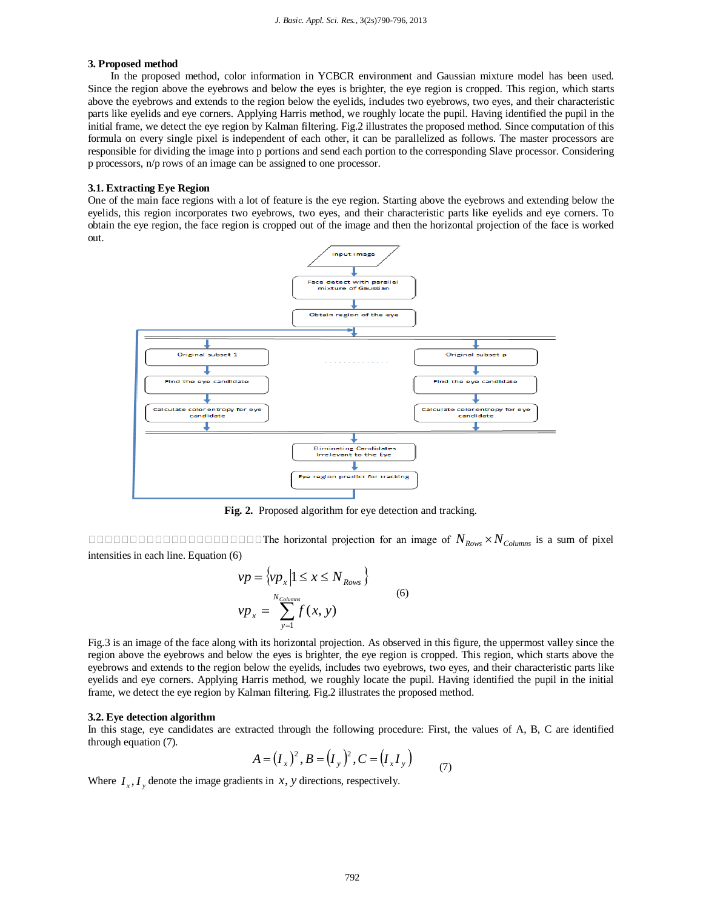## **3. Proposed method**

In the proposed method, color information in YCBCR environment and Gaussian mixture model has been used. Since the region above the eyebrows and below the eyes is brighter, the eye region is cropped. This region, which starts above the eyebrows and extends to the region below the eyelids, includes two eyebrows, two eyes, and their characteristic parts like eyelids and eye corners. Applying Harris method, we roughly locate the pupil. Having identified the pupil in the initial frame, we detect the eye region by Kalman filtering. Fig.2 illustrates the proposed method. Since computation of this formula on every single pixel is independent of each other, it can be parallelized as follows. The master processors are responsible for dividing the image into p portions and send each portion to the corresponding Slave processor. Considering p processors, n/p rows of an image can be assigned to one processor.

#### **3.1. Extracting Eye Region**

One of the main face regions with a lot of feature is the eye region. Starting above the eyebrows and extending below the eyelids, this region incorporates two eyebrows, two eyes, and their characteristic parts like eyelids and eye corners. To obtain the eye region, the face region is cropped out of the image and then the horizontal projection of the face is worked out.



**Fig. 2.** Proposed algorithm for eye detection and tracking.

The horizontal projection for an image of *NRows NColumns* is a sum of pixel intensities in each line. Equation (6)

$$
vp = \{vp_x | 1 \le x \le N_{Rows} \}
$$
  

$$
vp_x = \sum_{y=1}^{N_{Columns}} f(x, y)
$$
 (6)

Fig.3 is an image of the face along with its horizontal projection. As observed in this figure, the uppermost valley since the region above the eyebrows and below the eyes is brighter, the eye region is cropped. This region, which starts above the eyebrows and extends to the region below the eyelids, includes two eyebrows, two eyes, and their characteristic parts like eyelids and eye corners. Applying Harris method, we roughly locate the pupil. Having identified the pupil in the initial frame, we detect the eye region by Kalman filtering. Fig.2 illustrates the proposed method.

#### **3.2. Eye detection algorithm**

In this stage, eye candidates are extracted through the following procedure: First, the values of A, B, C are identified through equation (7).

$$
A = (I_x)^2, B = (I_y)^2, C = (I_x I_y) \tag{7}
$$

Where  $I_x$ ,  $I_y$  denote the image gradients in *x*, *y* directions, respectively.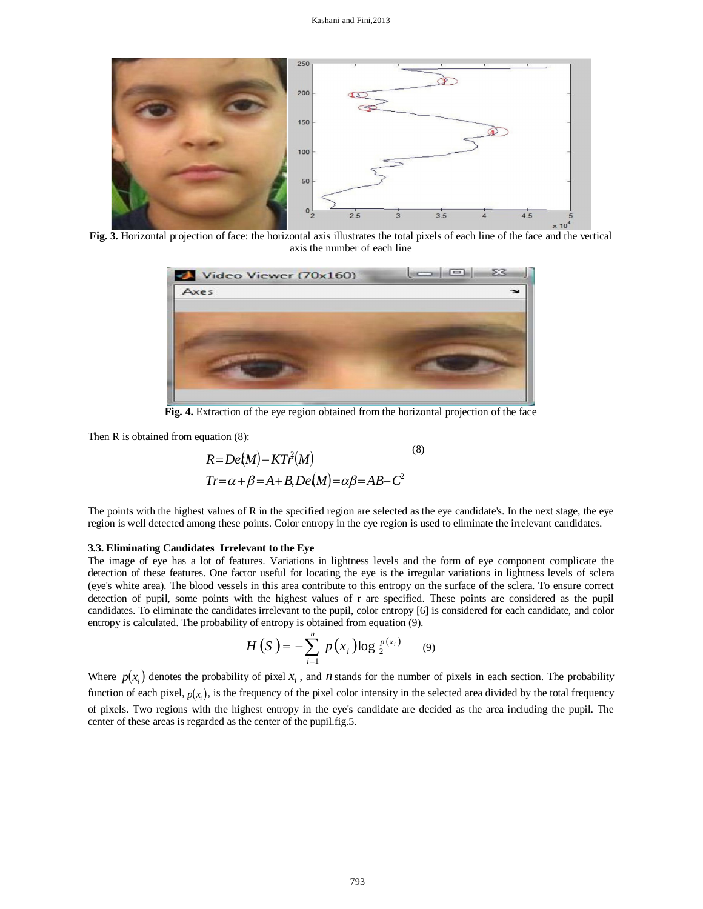

**Fig. 3.** Horizontal projection of face: the horizontal axis illustrates the total pixels of each line of the face and the vertical axis the number of each line



**Fig. 4.** Extraction of the eye region obtained from the horizontal projection of the face

Then R is obtained from equation  $(8)$ :

$$
R = De(M) - KT\hat{r}(M)
$$
  
Tr= $\alpha + \beta = A + B, De(M) = \alpha\beta = AB - C^2$  (8)

The points with the highest values of R in the specified region are selected as the eye candidate's. In the next stage, the eye region is well detected among these points. Color entropy in the eye region is used to eliminate the irrelevant candidates.

#### **3.3. Eliminating Candidates Irrelevant to the Eye**

The image of eye has a lot of features. Variations in lightness levels and the form of eye component complicate the detection of these features. One factor useful for locating the eye is the irregular variations in lightness levels of sclera (eye's white area). The blood vessels in this area contribute to this entropy on the surface of the sclera. To ensure correct detection of pupil, some points with the highest values of r are specified. These points are considered as the pupil candidates. To eliminate the candidates irrelevant to the pupil, color entropy [6] is considered for each candidate, and color entropy is calculated. The probability of entropy is obtained from equation (9).

$$
H(S) = -\sum_{i=1}^{n} p(x_i) \log_2 \frac{p(x_i)}{2}
$$
 (9)

Where  $p(x_i)$  denotes the probability of pixel  $x_i$ , and *n* stands for the number of pixels in each section. The probability function of each pixel,  $p(x_i)$ , is the frequency of the pixel color intensity in the selected area divided by the total frequency of pixels. Two regions with the highest entropy in the eye's candidate are decided as the area including the pupil. The center of these areas is regarded as the center of the pupil.fig.5.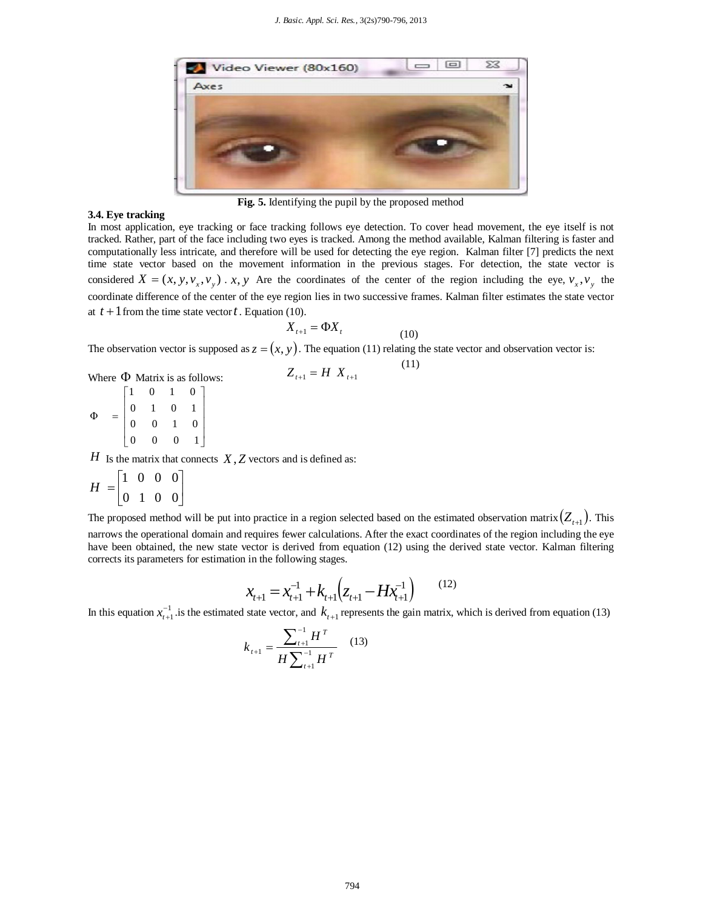

**Fig. 5.** Identifying the pupil by the proposed method

# **3.4. Eye tracking**

In most application, eye tracking or face tracking follows eye detection. To cover head movement, the eye itself is not tracked. Rather, part of the face including two eyes is tracked. Among the method available, Kalman filtering is faster and computationally less intricate, and therefore will be used for detecting the eye region. Kalman filter [7] predicts the next time state vector based on the movement information in the previous stages. For detection, the state vector is considered  $X = (x, y, v_x, v_y)$ . *x*, *y* Are the coordinates of the center of the region including the eye,  $v_x, v_y$  the coordinate difference of the center of the eye region lies in two successive frames. Kalman filter estimates the state vector at  $t + 1$  from the time state vector  $t$ . Equation (10).

$$
X_{t+1} = \Phi X_t \tag{10}
$$

 $Z_{t+1} = H \, X_{t+1}$  (11)

The observation vector is supposed as  $z = (x, y)$ . The equation (11) relating the state vector and observation vector is:

Where 
$$
\Phi
$$
 Matrix is as follows:

I I I I J I L  $=$ 0 0 0 1 0 0 1 0 0 1 0 1 1 0 1 0 Φ

*H* Is the matrix that connects *X*, *Z* vectors and is defined as:

$$
H = \begin{bmatrix} 1 & 0 & 0 & 0 \\ 0 & 1 & 0 & 0 \end{bmatrix}
$$

The proposed method will be put into practice in a region selected based on the estimated observation matrix  $(Z_{t+1})$ . This narrows the operational domain and requires fewer calculations. After the exact coordinates of the region including the eye have been obtained, the new state vector is derived from equation (12) using the derived state vector. Kalman filtering corrects its parameters for estimation in the following stages.

$$
x_{t+1} = x_{t+1}^{-1} + k_{t+1} \left( z_{t+1} - H x_{t+1}^{-1} \right)
$$
 (12)

In this equation  $x_{t+1}^{-1}$  is the estimated state vector, and  $k_{t+1}$  represents the gain matrix, which is derived from equation (13)

$$
k_{t+1} = \frac{\sum_{t+1}^{-1} H^T}{H \sum_{t+1}^{-1} H^T}
$$
 (13)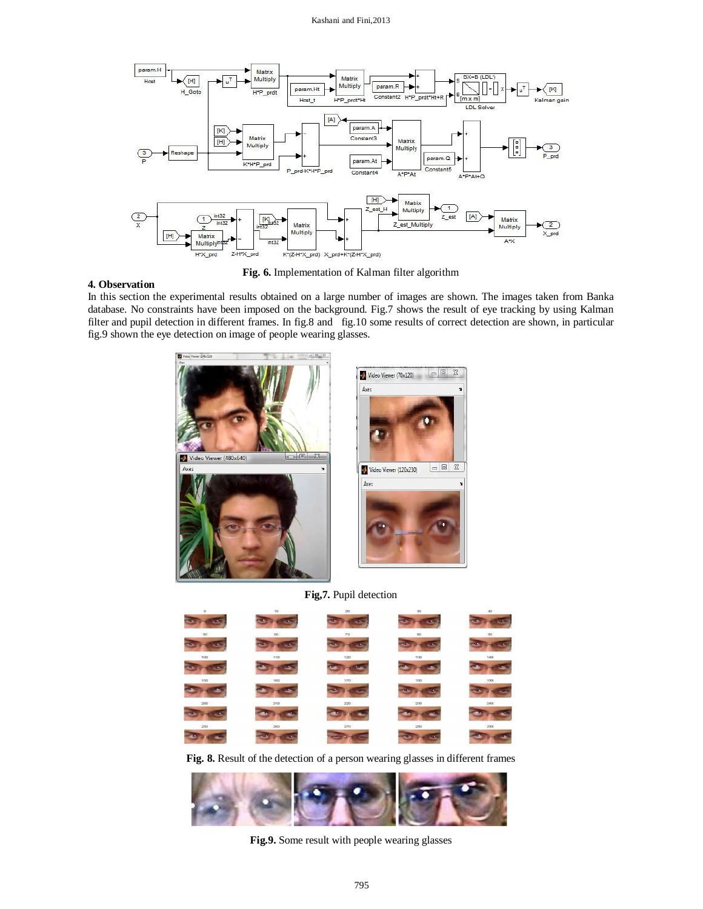

**Fig. 6.** Implementation of Kalman filter algorithm

# **4. Observation**

In this section the experimental results obtained on a large number of images are shown. The images taken from Banka database. No constraints have been imposed on the background. Fig.7 shows the result of eye tracking by using Kalman filter and pupil detection in different frames. In fig.8 and fig.10 some results of correct detection are shown, in particular fig.9 shown the eye detection on image of people wearing glasses.



**Fig,7.** Pupil detection

| $\circ$          | 10          | 20                   | 30                | 40                |
|------------------|-------------|----------------------|-------------------|-------------------|
| œ<br>os.         | <b>Sec.</b> | in m<br><b>SCALE</b> | e.<br><b>STAR</b> | <b>STAR</b>       |
| 50               | 60          | 70                   | $\infty$          | 90                |
| æ<br>e si        | ×.          | œ<br>a.              | æ.<br>z.          | æ.<br><b>CELL</b> |
| 100              | 110         | 120                  | 130               | 140               |
| $\bullet$<br>2.5 |             |                      |                   | ٠                 |
| 150              | 160         | 170                  | 180               | 190               |
|                  | - 1         |                      | <br>$\rightarrow$ | e m               |
| 200              | 210         | 220                  | 230               | 240               |
|                  |             |                      |                   | ×.                |
| 250              | 260         | 270                  | 280               | 290               |
|                  | o.          |                      | Es<br>$\sim$      | a.                |

**Fig. 8.** Result of the detection of a person wearing glasses in different frames



**Fig.9.** Some result with people wearing glasses